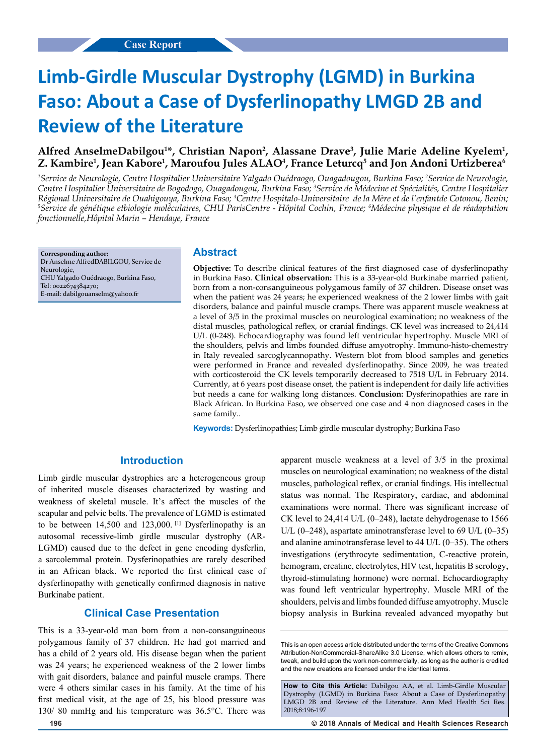# **Limb-Girdle Muscular Dystrophy (LGMD) in Burkina Faso: About a Case of Dysferlinopathy LMGD 2B and Review of the Literature**

## Alfred AnselmeDabilgou<sup>1\*</sup>, Christian Napon<sup>2</sup>, Alassane Drave<sup>3</sup>, Julie Marie Adeline Kyelem<sup>1</sup>, **Z. Kambire1 , Jean Kabore1 , Maroufou Jules ALAO4 , France Leturcq5 and Jon Andoni Urtizberea6**

*1 Service de Neurologie, Centre Hospitalier Universitaire Yalgado Ouédraogo, Ouagadougou, Burkina Faso; 2 Service de Neurologie, Centre Hospitalier Universitaire de Bogodogo, Ouagadougou, Burkina Faso; 3 Service de Médecine et Spécialités, Centre Hospitalier*  Régional Universitaire de Ouahigouya, Burkina Faso; <sup>4</sup>Centre Hospitalo-Universitaire de la Mère et de l'enfantde Cotonou, Benin;<br><sup>5</sup>Service de génétique ethiologie moléculaires, CHU ParisCentre - Hônital Cochin, France: *Service de génétique etbiologie moléculaires, CHU ParisCentre - Hôpital Cochin, France; 6 Médecine physique et de réadaptation fonctionnelle,Hôpital Marin – Hendaye, France*

**Corresponding author:** Dr Anselme AlfredDABILGOU, Service de Neurologie, CHU Yalgado Ouédraogo, Burkina Faso, Tel: 0022674384270; E-mail: dabilgouanselm@yahoo.fr

#### **Abstract**

**Objective:** To describe clinical features of the first diagnosed case of dysferlinopathy in Burkina Faso. **Clinical observation:** This is a 33-year-old Burkinabe married patient, born from a non-consanguineous polygamous family of 37 children. Disease onset was when the patient was 24 years; he experienced weakness of the 2 lower limbs with gait disorders, balance and painful muscle cramps. There was apparent muscle weakness at a level of 3/5 in the proximal muscles on neurological examination; no weakness of the distal muscles, pathological reflex, or cranial findings. CK level was increased to 24,414 U/L (0-248). Echocardiography was found left ventricular hypertrophy. Muscle MRI of the shoulders, pelvis and limbs founded diffuse amyotrophy. Immuno-histo-chemestry in Italy revealed sarcoglycannopathy. Western blot from blood samples and genetics were performed in France and revealed dysferlinopathy. Since 2009, he was treated with corticosteroid the CK levels temporarily decreased to 7518 U/L in February 2014. Currently, at 6 years post disease onset, the patient is independent for daily life activities but needs a cane for walking long distances. **Conclusion:** Dysferinopathies are rare in Black African. In Burkina Faso, we observed one case and 4 non diagnosed cases in the same family..

**Keywords:** Dysferlinopathies; Limb girdle muscular dystrophy; Burkina Faso

#### **Introduction**

Limb girdle muscular dystrophies are a heterogeneous group of inherited muscle diseases characterized by wasting and weakness of skeletal muscle. It's affect the muscles of the scapular and pelvic belts. The prevalence of LGMD is estimated to be between 14,500 and 123,000.<sup>[1]</sup> Dysferlinopathy is an autosomal recessive-limb girdle muscular dystrophy (AR-LGMD) caused due to the defect in gene encoding dysferlin, a sarcolemmal protein. Dysferinopathies are rarely described in an African black. We reported the first clinical case of dysferlinopathy with genetically confirmed diagnosis in native Burkinabe patient.

#### **Clinical Case Presentation**

This is a 33-year-old man born from a non-consanguineous polygamous family of 37 children. He had got married and has a child of 2 years old. His disease began when the patient was 24 years; he experienced weakness of the 2 lower limbs with gait disorders, balance and painful muscle cramps. There were 4 others similar cases in his family. At the time of his first medical visit, at the age of 25, his blood pressure was 130/ 80 mmHg and his temperature was 36.5°C. There was

muscles on neurological examination; no weakness of the distal muscles, pathological reflex, or cranial findings. His intellectual status was normal. The Respiratory, cardiac, and abdominal examinations were normal. There was significant increase of CK level to 24,414 U/L (0–248), lactate dehydrogenase to 1566 U/L  $(0-248)$ , aspartate aminotransferase level to 69 U/L  $(0-35)$ and alanine aminotransferase level to  $44$  U/L (0–35). The others investigations (erythrocyte sedimentation, C-reactive protein, hemogram, creatine, electrolytes, HIV test, hepatitis B serology, thyroid-stimulating hormone) were normal. Echocardiography was found left ventricular hypertrophy. Muscle MRI of the shoulders, pelvis and limbs founded diffuse amyotrophy. Muscle biopsy analysis in Burkina revealed advanced myopathy but

apparent muscle weakness at a level of 3/5 in the proximal

**How to Cite this Article:** Dabilgou AA, et al. Limb-Girdle Muscular Dystrophy (LGMD) in Burkina Faso: About a Case of Dysferlinopathy LMGD 2B and Review of the Literature. Ann Med Health Sci Res. 2018;8:196-197

This is an open access article distributed under the terms of the Creative Commons Attribution‑NonCommercial‑ShareAlike 3.0 License, which allows others to remix, tweak, and build upon the work non‑commercially, as long as the author is credited and the new creations are licensed under the identical terms.